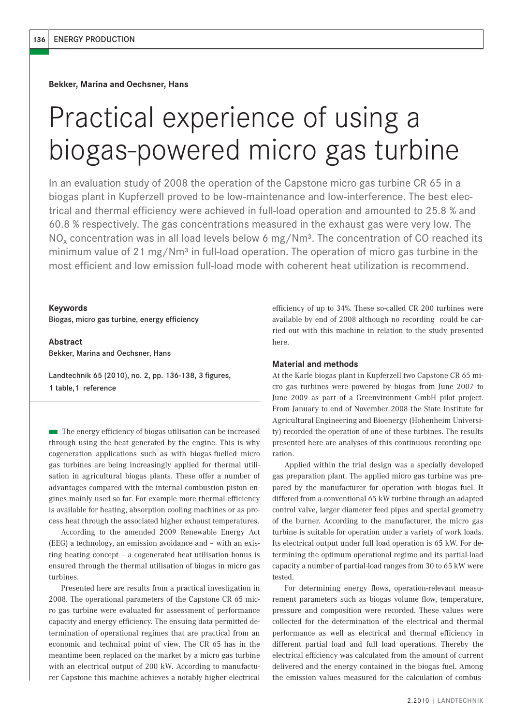**Bekker, Marina and Oechsner, Hans**

# Practical experience of using a biogas-powered micro gas turbine

In an evaluation study of 2008 the operation of the Capstone micro gas turbine CR 65 in a biogas plant in Kupferzell proved to be low-maintenance and low-interference. The best electrical and thermal efficiency were achieved in full-load operation and amounted to 25.8 % and 60.8 % respectively. The gas concentrations measured in the exhaust gas were very low. The NO<sub>x</sub> concentration was in all load levels below 6 mg/Nm<sup>3</sup>. The concentration of CO reached its minimum value of 21 mg/Nm<sup>3</sup> in full-load operation. The operation of micro gas turbine in the most efficient and low emission full-load mode with coherent heat utilization is recommend.

#### **Keywords**

Biogas, micro gas turbine, energy efficiency

**Abstract** Bekker, Marina and Oechsner, Hans

Landtechnik 65 (2010), no. 2, pp. 136-138, 3 figures, 1 table,1 reference

■ The energy efficiency of biogas utilisation can be increased through using the heat generated by the engine. This is why cogeneration applications such as with biogas-fuelled micro gas turbines are being increasingly applied for thermal utilisation in agricultural biogas plants. These offer a number of advantages compared with the internal combustion piston engines mainly used so far. For example more thermal efficiency is available for heating, absorption cooling machines or as process heat through the associated higher exhaust temperatures.

According to the amended 2009 Renewable Energy Act (EEG) a technology, an emission avoidance and – with an existing heating concept – a cogenerated heat utilisation bonus is ensured through the thermal utilisation of biogas in micro gas turbines.

Presented here are results from a practical investigation in 2008. The operational parameters of the Capstone CR 65 micro gas turbine were evaluated for assessment of performance capacity and energy efficiency. The ensuing data permitted determination of operational regimes that are practical from an economic and technical point of view. The CR 65 has in the meantime been replaced on the market by a micro gas turbine with an electrical output of 200 kW. According to manufacturer Capstone this machine achieves a notably higher electrical efficiency of up to 34%. These so-called CR 200 turbines were available by end of 2008 although no recording could be carried out with this machine in relation to the study presented here.

## **Material and methods**

At the Karle biogas plant in Kupferzell two Capstone CR 65 micro gas turbines were powered by biogas from June 2007 to June 2009 as part of a Greenvironment GmbH pilot project. From January to end of November 2008 the State Institute for Agricultural Engineering and Bioenergy (Hohenheim University) recorded the operation of one of these turbines. The results presented here are analyses of this continuous recording operation.

Applied within the trial design was a specially developed gas preparation plant. The applied micro gas turbine was prepared by the manufacturer for operation with biogas fuel. It differed from a conventional 65 kW turbine through an adapted control valve, larger diameter feed pipes and special geometry of the burner. According to the manufacturer, the micro gas turbine is suitable for operation under a variety of work loads. Its electrical output under full load operation is 65 kW. For determining the optimum operational regime and its partial-load capacity a number of partial-load ranges from 30 to 65 kW were tested.

For determining energy flows, operation-relevant measurement parameters such as biogas volume flow, temperature, pressure and composition were recorded. These values were collected for the determination of the electrical and thermal performance as well as electrical and thermal efficiency in different partial load and full load operations. Thereby the electrical efficiency was calculated from the amount of current delivered and the energy contained in the biogas fuel. Among the emission values measured for the calculation of combus-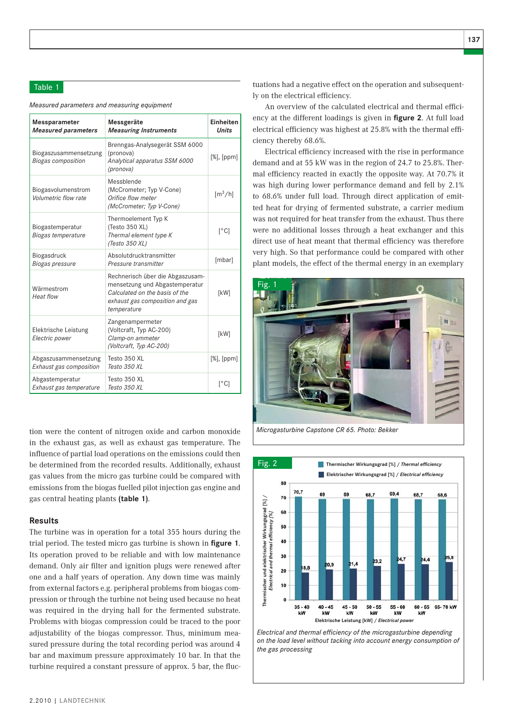# Table 1

*Measured parameters and measuring equipment*

| Messparameter<br><b>Measured parameters</b>        | Messgeräte<br><b>Measuring Instruments</b>                                                                                                             | Einheiten<br><b>Units</b>    |
|----------------------------------------------------|--------------------------------------------------------------------------------------------------------------------------------------------------------|------------------------------|
| Biogaszusammensetzung<br><b>Biogas composition</b> | Brenngas-Analysegerät SSM 6000<br>(pronova)<br>Analytical apparatus SSM 6000<br>(pronova)                                                              | $[%]$ , $[ppm]$              |
| Biogasvolumenstrom<br>Volumetric flow rate         | Messblende<br>(McCrometer; Typ V-Cone)<br>Orifice flow meter<br>(McCrometer; Typ V-Cone)                                                               | $\left[\frac{m^3}{h}\right]$ |
| Biogastemperatur<br>Biogas temperature             | Thermoelement Typ K<br>(Testo 350 XL)<br>Thermal element type K<br>(Testo 350 XL)                                                                      | $[^{\circ}C]$                |
| Biogasdruck<br>Biogas pressure                     | Absolutdrucktransmitter<br>Pressure transmitter                                                                                                        | [mbar]                       |
| Wärmestrom<br>Heat flow                            | Rechnerisch über die Abgaszusam-<br>mensetzung und Abgastemperatur<br>Calculated on the basis of the<br>exhaust gas composition and gas<br>temperature | [kW]                         |
| Elektrische Leistung<br>Electric power             | Zangenampermeter<br>(Voltcraft, Typ AC-200)<br>Clamp-on ammeter<br>(Voltcraft, Typ AC-200)                                                             | [kW]                         |
| Abgaszusammensetzung<br>Exhaust gas composition    | Testo 350 XL<br>Testo 350 XL                                                                                                                           | $[%]$ , $[ppm]$              |
| Abgastemperatur<br>Exhaust gas temperature         | Testo 350 XL<br>Testo 350 XL                                                                                                                           | $\lceil$ °C]                 |

tion were the content of nitrogen oxide and carbon monoxide in the exhaust gas, as well as exhaust gas temperature. The influence of partial load operations on the emissions could then be determined from the recorded results. Additionally, exhaust gas values from the micro gas turbine could be compared with emissions from the biogas fuelled pilot injection gas engine and gas central heating plants **(table 1)**.

#### **Results**

The turbine was in operation for a total 355 hours during the trial period. The tested micro gas turbine is shown in **figure 1**. Its operation proved to be reliable and with low maintenance demand. Only air filter and ignition plugs were renewed after one and a half years of operation. Any down time was mainly from external factors e.g. peripheral problems from biogas compression or through the turbine not being used because no heat was required in the drying hall for the fermented substrate. Problems with biogas compression could be traced to the poor adjustability of the biogas compressor. Thus, minimum measured pressure during the total recording period was around 4 bar and maximum pressure approximately 10 bar. In that the turbine required a constant pressure of approx. 5 bar, the fluctuations had a negative effect on the operation and subsequently on the electrical efficiency.

An overview of the calculated electrical and thermal efficiency at the different loadings is given in **figure 2**. At full load electrical efficiency was highest at 25.8% with the thermal efficiency thereby 68.6%.

Electrical efficiency increased with the rise in performance demand and at 55 kW was in the region of 24.7 to 25.8%. Thermal efficiency reacted in exactly the opposite way. At 70.7% it was high during lower performance demand and fell by 2.1% to 68.6% under full load. Through direct application of emitted heat for drying of fermented substrate, a carrier medium was not required for heat transfer from the exhaust. Thus there were no additional losses through a heat exchanger and this direct use of heat meant that thermal efficiency was therefore very high. So that performance could be compared with other plant models, the effect of the thermal energy in an exemplary





*Electrical and thermal efficiency of the microgasturbine depending on the load level without tacking into account energy consumption of the gas processing*